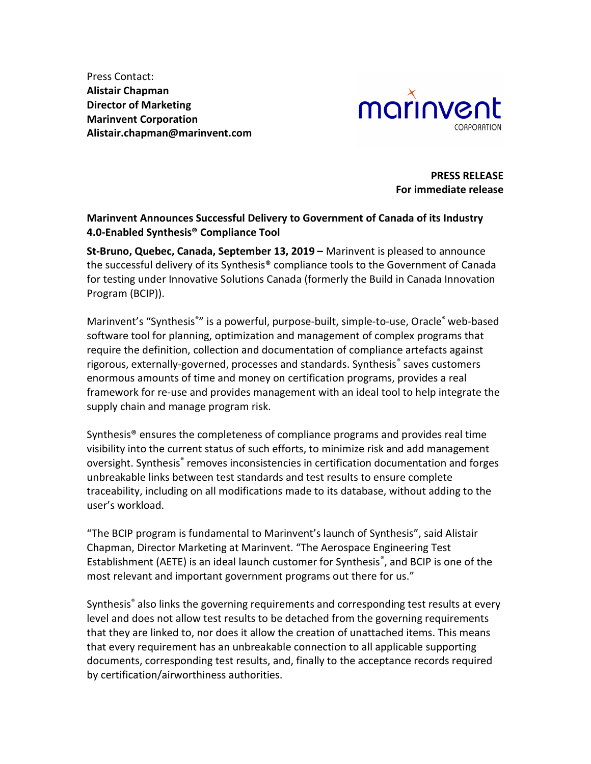Press Contact: Alistair Chapman Director of Marketing Marinvent Corporation Alistair.chapman@marinvent.com



PRESS RELEASE For immediate release

## Marinvent Announces Successful Delivery to Government of Canada of its Industry 4.0-Enabled Synthesis® Compliance Tool

St-Bruno, Quebec, Canada, September 13, 2019 – Marinvent is pleased to announce the successful delivery of its Synthesis® compliance tools to the Government of Canada for testing under Innovative Solutions Canada (formerly the Build in Canada Innovation Program (BCIP)).

Marinvent's "Synthesis<sup>®</sup>" is a powerful, purpose-built, simple-to-use, Oracle<sup>®</sup> web-based software tool for planning, optimization and management of complex programs that require the definition, collection and documentation of compliance artefacts against rigorous, externally-governed, processes and standards. Synthesis<sup>®</sup> saves customers enormous amounts of time and money on certification programs, provides a real framework for re-use and provides management with an ideal tool to help integrate the supply chain and manage program risk.

Synthesis® ensures the completeness of compliance programs and provides real time visibility into the current status of such efforts, to minimize risk and add management oversight. Synthesis® removes inconsistencies in certification documentation and forges unbreakable links between test standards and test results to ensure complete traceability, including on all modifications made to its database, without adding to the user's workload.

"The BCIP program is fundamental to Marinvent's launch of Synthesis", said Alistair Chapman, Director Marketing at Marinvent. "The Aerospace Engineering Test Establishment (AETE) is an ideal launch customer for Synthesis®, and BCIP is one of the most relevant and important government programs out there for us."

Synthesis<sup>®</sup> also links the governing requirements and corresponding test results at every level and does not allow test results to be detached from the governing requirements that they are linked to, nor does it allow the creation of unattached items. This means that every requirement has an unbreakable connection to all applicable supporting documents, corresponding test results, and, finally to the acceptance records required by certification/airworthiness authorities.